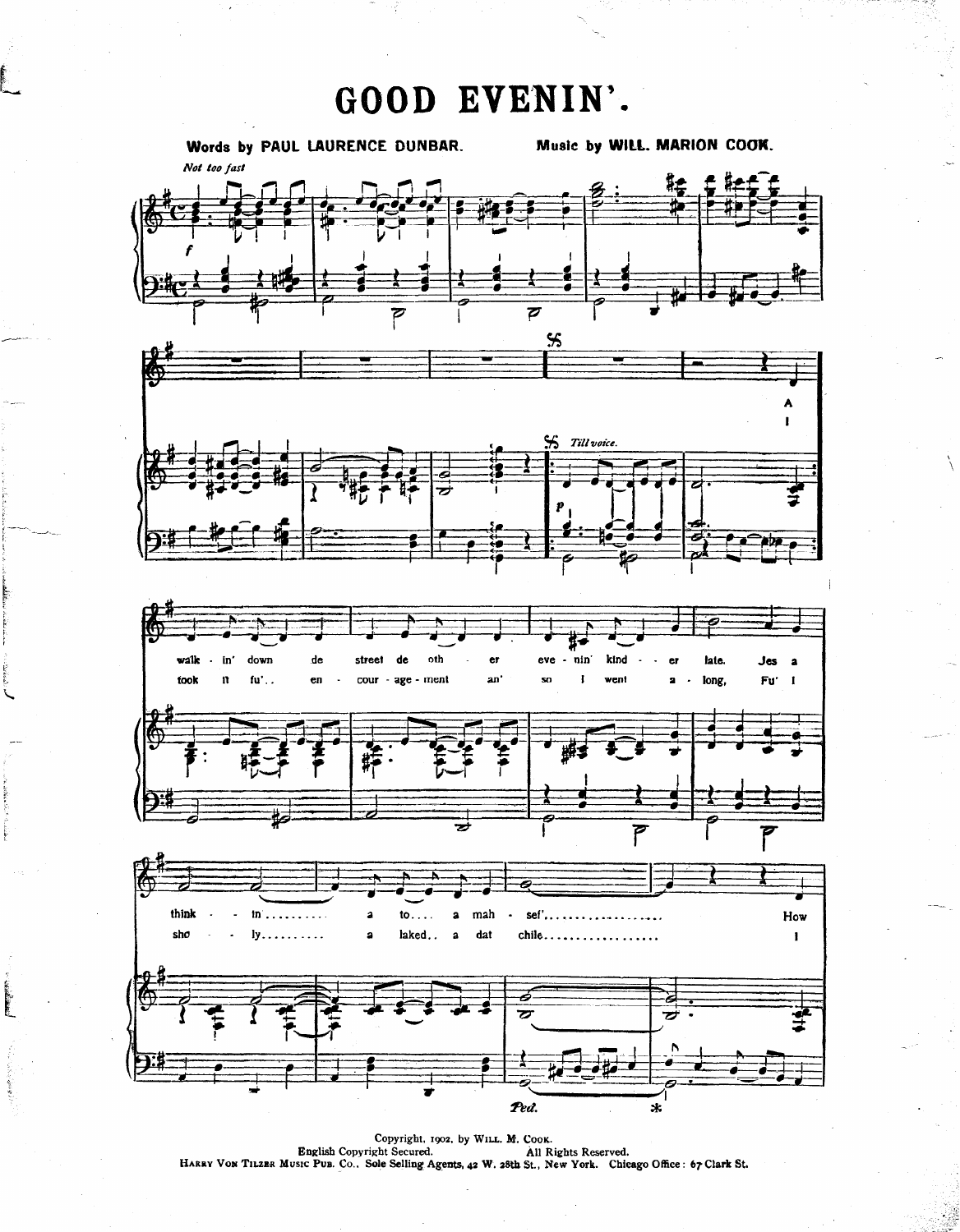GOOD EVENIN'.



Copyright, 1902, by WILL. M. COOK.<br>English Copyright Secured. All Rights Reserved.<br>HARRY VON TILZER MUSIC PUB. CO., Sole Selling Agents, 42 W. 28th St., New York. Chicago Office: 67 Clark St.

تتعامل